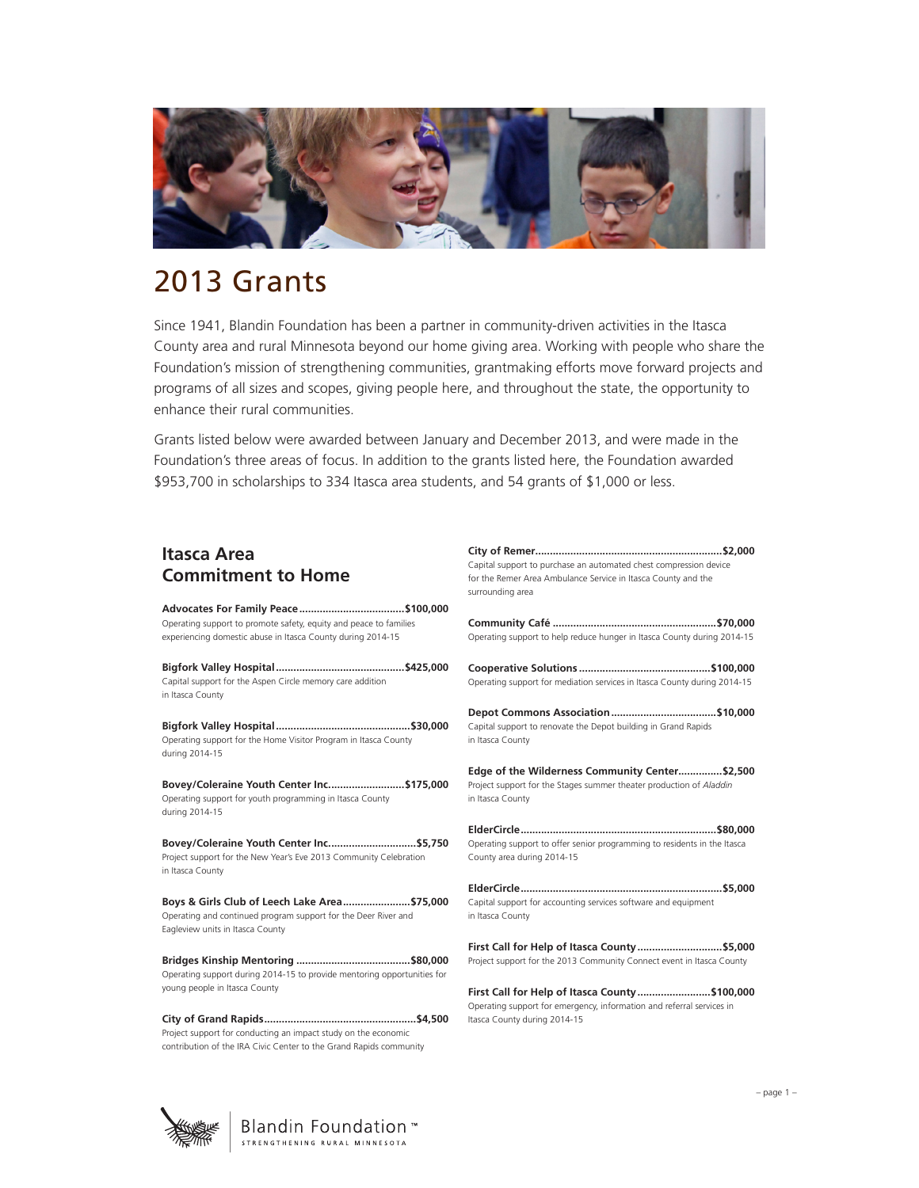

# 2013 Grants

Since 1941, Blandin Foundation has been a partner in community-driven activities in the Itasca County area and rural Minnesota beyond our home giving area. Working with people who share the Foundation's mission of strengthening communities, grantmaking efforts move forward projects and programs of all sizes and scopes, giving people here, and throughout the state, the opportunity to enhance their rural communities.

Grants listed below were awarded between January and December 2013, and were made in the Foundation's three areas of focus. In addition to the grants listed here, the Foundation awarded \$953,700 in scholarships to 334 Itasca area students, and 54 grants of \$1,000 or less.

| <b>Itasca Area</b>        |  |
|---------------------------|--|
| <b>Commitment to Home</b> |  |

| Operating support to promote safety, equity and peace to families<br>experiencing domestic abuse in Itasca County during 2014-15                   |  |
|----------------------------------------------------------------------------------------------------------------------------------------------------|--|
| Capital support for the Aspen Circle memory care addition<br>in Itasca County                                                                      |  |
| Operating support for the Home Visitor Program in Itasca County<br>during 2014-15                                                                  |  |
| Bovey/Coleraine Youth Center Inc \$175,000<br>Operating support for youth programming in Itasca County<br>during 2014-15                           |  |
| Bovey/Coleraine Youth Center Inc \$5,750<br>Project support for the New Year's Eve 2013 Community Celebration<br>in Itasca County                  |  |
| Boys & Girls Club of Leech Lake Area\$75,000<br>Operating and continued program support for the Deer River and<br>Eagleview units in Itasca County |  |
| Operating support during 2014-15 to provide mentoring opportunities for<br>young people in Itasca County                                           |  |

**City of Grand Rapids....................................................\$4,500** Project support for conducting an impact study on the economic contribution of the IRA Civic Center to the Grand Rapids community

| Capital support to purchase an automated chest compression device<br>for the Remer Area Ambulance Service in Itasca County and the<br>surrounding area |
|--------------------------------------------------------------------------------------------------------------------------------------------------------|
|                                                                                                                                                        |
|                                                                                                                                                        |
|                                                                                                                                                        |
|                                                                                                                                                        |
|                                                                                                                                                        |
| Operating support to help reduce hunger in Itasca County during 2014-15                                                                                |
|                                                                                                                                                        |
| Operating support for mediation services in Itasca County during 2014-15                                                                               |
|                                                                                                                                                        |
| Capital support to renovate the Depot building in Grand Rapids                                                                                         |
| in Itasca County                                                                                                                                       |
|                                                                                                                                                        |
| Edge of the Wilderness Community Center\$2,500                                                                                                         |
| Project support for the Stages summer theater production of Aladdin                                                                                    |
| in Itasca County                                                                                                                                       |
|                                                                                                                                                        |
| Operating support to offer senior programming to residents in the Itasca                                                                               |
| County area during 2014-15                                                                                                                             |
|                                                                                                                                                        |
| Capital support for accounting services software and equipment                                                                                         |
| in Itasca County                                                                                                                                       |
|                                                                                                                                                        |
| First Call for Help of Itasca County\$5,000                                                                                                            |
| Project support for the 2013 Community Connect event in Itasca County                                                                                  |
|                                                                                                                                                        |
| First Call for Help of Itasca County\$100,000                                                                                                          |

Operating support for emergency, information and referral services in Itasca County during 2014-15

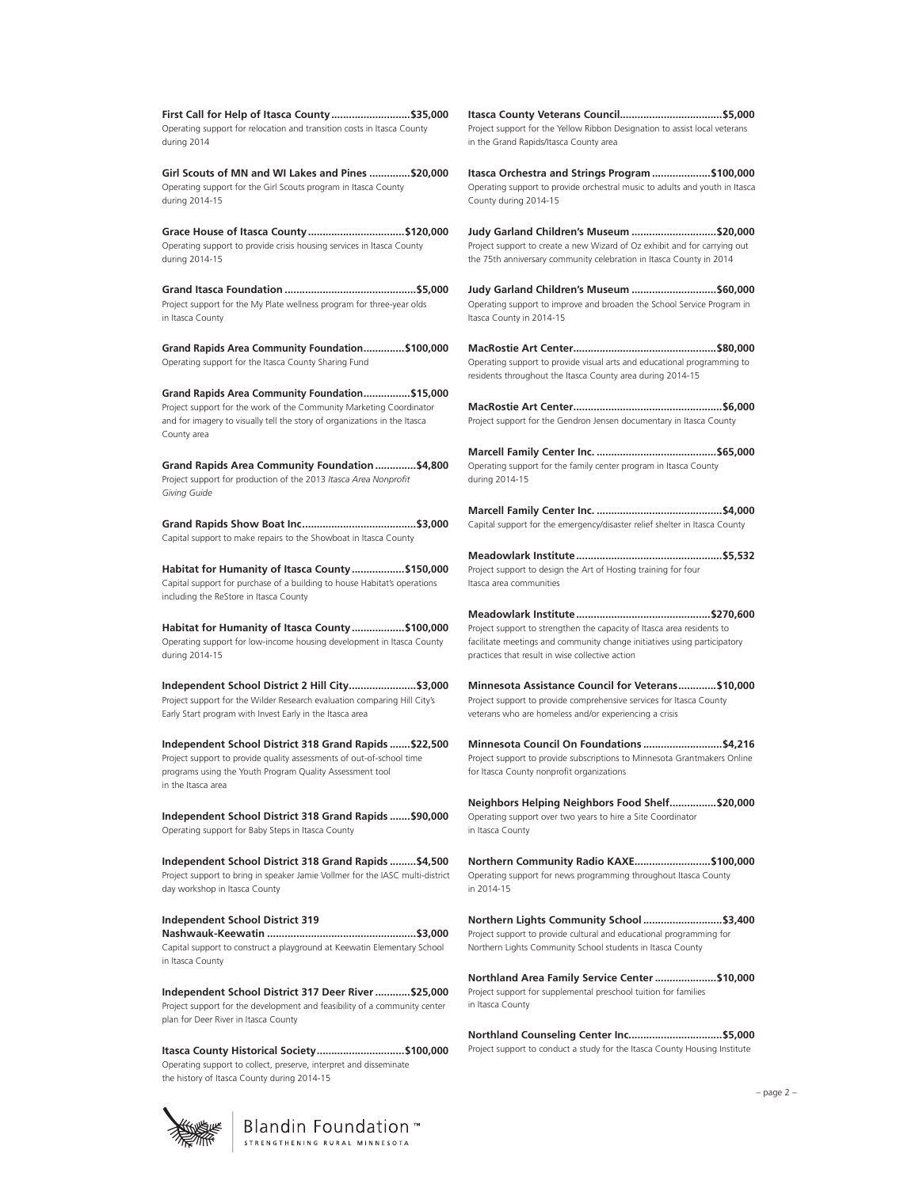**First Call for Help of Itasca County...........................\$35,000** Operating support for relocation and transition costs in Itasca County during 2014

**Girl Scouts of MN and WI Lakes and Pines ..............\$20,000** Operating support for the Girl Scouts program in Itasca County during 2014-15

**Grace House of Itasca County.................................\$120,000** Operating support to provide crisis housing services in Itasca County during 2014-15

**Grand Itasca Foundation .............................................\$5,000** Project support for the My Plate wellness program for three-year olds in Itasca County

**Grand Rapids Area Community Foundation..............\$100,000** Operating support for the Itasca County Sharing Fund

**Grand Rapids Area Community Foundation................\$15,000**  Project support for the work of the Community Marketing Coordinator and for imagery to visually tell the story of organizations in the Itasca County area

**Grand Rapids Area Community Foundation..............\$4,800** Project support for production of the 2013 *Itasca Area Nonprofit Giving Guide*

**Grand Rapids Show Boat Inc.......................................\$3,000** Capital support to make repairs to the Showboat in Itasca County

**Habitat for Humanity of Itasca County..................\$150,000**  Capital support for purchase of a building to house Habitat's operations including the ReStore in Itasca County

**Habitat for Humanity of Itasca County..................\$100,000** Operating support for low-income housing development in Itasca County during 2014-15

**Independent School District 2 Hill City.......................\$3,000** Project support for the Wilder Research evaluation comparing Hill City's Early Start program with Invest Early in the Itasca area

**Independent School District 318 Grand Rapids .......\$22,500** Project support to provide quality assessments of out-of-school time programs using the Youth Program Quality Assessment tool in the Itasca area

**Independent School District 318 Grand Rapids .......\$90,000** Operating support for Baby Steps in Itasca County

**Independent School District 318 Grand Rapids .........\$4,500** Project support to bring in speaker Jamie Vollmer for the IASC multi-district day workshop in Itasca County

**Independent School District 319 Nashwauk-Keewatin ...................................................\$3,000** Capital support to construct a playground at Keewatin Elementary School in Itasca County

**Independent School District 317 Deer River............\$25,000** Project support for the development and feasibility of a community center plan for Deer River in Itasca County

**Itasca County Historical Society..............................\$100,000** Operating support to collect, preserve, interpret and disseminate the history of Itasca County during 2014-15

> Blandin Foundation™ STRENGTHENING RURAL MINNESOTA

**Itasca County Veterans Council...................................\$5,000**  Project support for the Yellow Ribbon Designation to assist local veterans in the Grand Rapids/Itasca County area

**Itasca Orchestra and Strings Program ....................\$100,000**  Operating support to provide orchestral music to adults and youth in Itasca County during 2014-15

**Judy Garland Children's Museum .............................\$20,000**  Project support to create a new Wizard of Oz exhibit and for carrying out the 75th anniversary community celebration in Itasca County in 2014

**Judy Garland Children's Museum .............................\$60,000**  Operating support to improve and broaden the School Service Program in Itasca County in 2014-15

**MacRostie Art Center.................................................\$80,000** Operating support to provide visual arts and educational programming to residents throughout the Itasca County area during 2014-15

**MacRostie Art Center...................................................\$6,000** Project support for the Gendron Jensen documentary in Itasca County

**Marcell Family Center Inc. .........................................\$65,000** Operating support for the family center program in Itasca County during 2014-15

**Marcell Family Center Inc. ...........................................\$4,000** Capital support for the emergency/disaster relief shelter in Itasca County

**Meadowlark Institute..................................................\$5,532**  Project support to design the Art of Hosting training for four Itasca area communities

**Meadowlark Institute..............................................\$270,600** Project support to strengthen the capacity of Itasca area residents to facilitate meetings and community change initiatives using participatory practices that result in wise collective action

**Minnesota Assistance Council for Veterans.............\$10,000** Project support to provide comprehensive services for Itasca County veterans who are homeless and/or experiencing a crisis

**Minnesota Council On Foundations ...........................\$4,216** Project support to provide subscriptions to Minnesota Grantmakers Online for Itasca County nonprofit organizations

**Neighbors Helping Neighbors Food Shelf................\$20,000** Operating support over two years to hire a Site Coordinator in Itasca County

**Northern Community Radio KAXE..........................\$100,000** Operating support for news programming throughout Itasca County in 2014-15

**Northern Lights Community School ...........................\$3,400**  Project support to provide cultural and educational programming for Northern Lights Community School students in Itasca County

**Northland Area Family Service Center.....................\$10,000** Project support for supplemental preschool tuition for families in Itasca County

**Northland Counseling Center Inc................................\$5,000** Project support to conduct a study for the Itasca County Housing Institute

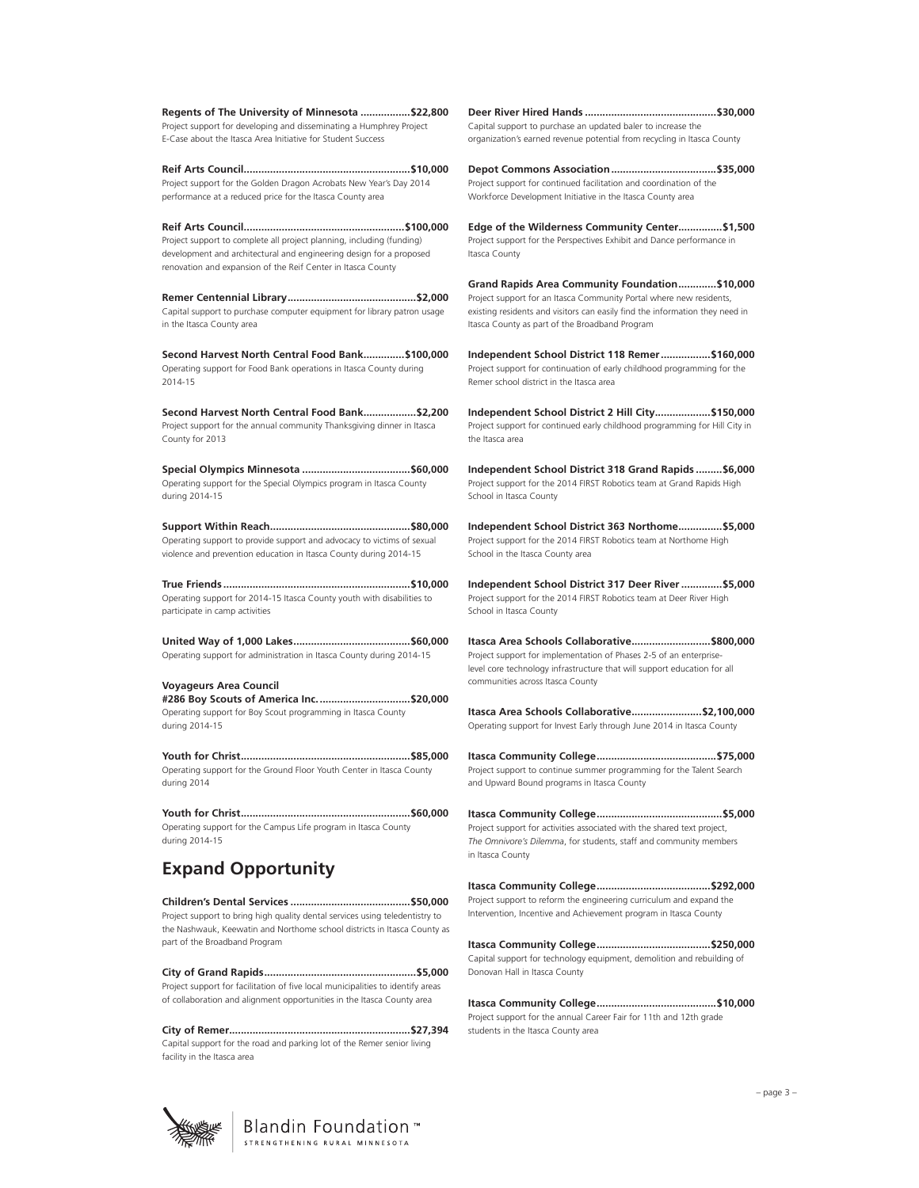**Regents of The University of Minnesota .................\$22,800** Project support for developing and disseminating a Humphrey Project E-Case about the Itasca Area Initiative for Student Success

**Reif Arts Council.........................................................\$10,000** Project support for the Golden Dragon Acrobats New Year's Day 2014 performance at a reduced price for the Itasca County area

**Reif Arts Council.......................................................\$100,000** Project support to complete all project planning, including (funding) development and architectural and engineering design for a proposed renovation and expansion of the Reif Center in Itasca County

**Remer Centennial Library............................................\$2,000** Capital support to purchase computer equipment for library patron usage in the Itasca County area

**Second Harvest North Central Food Bank..............\$100,000** Operating support for Food Bank operations in Itasca County during 2014-15

**Second Harvest North Central Food Bank..................\$2,200** Project support for the annual community Thanksgiving dinner in Itasca County for 2013

**Special Olympics Minnesota .....................................\$60,000** Operating support for the Special Olympics program in Itasca County during 2014-15

**Support Within Reach................................................\$80,000** Operating support to provide support and advocacy to victims of sexual violence and prevention education in Itasca County during 2014-15

**True Friends ................................................................\$10,000** Operating support for 2014-15 Itasca County youth with disabilities to participate in camp activities

**United Way of 1,000 Lakes........................................\$60,000** Operating support for administration in Itasca County during 2014-15

**Voyageurs Area Council #286 Boy Scouts of America Inc................................\$20,000** Operating support for Boy Scout programming in Itasca County during 2014-15

**Youth for Christ..........................................................\$85,000** Operating support for the Ground Floor Youth Center in Itasca County during 2014

**Youth for Christ..........................................................\$60,000** Operating support for the Campus Life program in Itasca County during 2014-15

# **Expand Opportunity**

**Children's Dental Services .........................................\$50,000** Project support to bring high quality dental services using teledentistry to the Nashwauk, Keewatin and Northome school districts in Itasca County as part of the Broadband Program

**City of Grand Rapids....................................................\$5,000** Project support for facilitation of five local municipalities to identify areas of collaboration and alignment opportunities in the Itasca County area

**City of Remer..............................................................\$27,394** Capital support for the road and parking lot of the Remer senior living facility in the Itasca area

**Deer River Hired Hands .............................................\$30,000** Capital support to purchase an updated baler to increase the organization's earned revenue potential from recycling in Itasca County

**Depot Commons Association....................................\$35,000** Project support for continued facilitation and coordination of the Workforce Development Initiative in the Itasca County area

**Edge of the Wilderness Community Center...............\$1,500** Project support for the Perspectives Exhibit and Dance performance in Itasca County

**Grand Rapids Area Community Foundation.............\$10,000** Project support for an Itasca Community Portal where new residents, existing residents and visitors can easily find the information they need in Itasca County as part of the Broadband Program

**Independent School District 118 Remer.................\$160,000** Project support for continuation of early childhood programming for the Remer school district in the Itasca area

**Independent School District 2 Hill City...................\$150,000** Project support for continued early childhood programming for Hill City in the Itasca area

**Independent School District 318 Grand Rapids .........\$6,000** Project support for the 2014 FIRST Robotics team at Grand Rapids High School in Itasca County

**Independent School District 363 Northome...............\$5,000**  Project support for the 2014 FIRST Robotics team at Northome High School in the Itasca County area

**Independent School District 317 Deer River..............\$5,000**  Project support for the 2014 FIRST Robotics team at Deer River High School in Itasca County

**Itasca Area Schools Collaborative...........................\$800,000**  Project support for implementation of Phases 2-5 of an enterpriselevel core technology infrastructure that will support education for all communities across Itasca County

**Itasca Area Schools Collaborative........................\$2,100,000**  Operating support for Invest Early through June 2014 in Itasca County

**Itasca Community College.........................................\$75,000** Project support to continue summer programming for the Talent Search and Upward Bound programs in Itasca County

**Itasca Community College...........................................\$5,000**  Project support for activities associated with the shared text project, *The Omnivore's Dilemma*, for students, staff and community members in Itasca County

**Itasca Community College.......................................\$292,000**  Project support to reform the engineering curriculum and expand the Intervention, Incentive and Achievement program in Itasca County

**Itasca Community College.......................................\$250,000**  Capital support for technology equipment, demolition and rebuilding of Donovan Hall in Itasca County

**Itasca Community College.........................................\$10,000**  Project support for the annual Career Fair for 11th and 12th grade students in the Itasca County area



Blandin Foundation™ STRENGTHENING RURAL MINNESOTA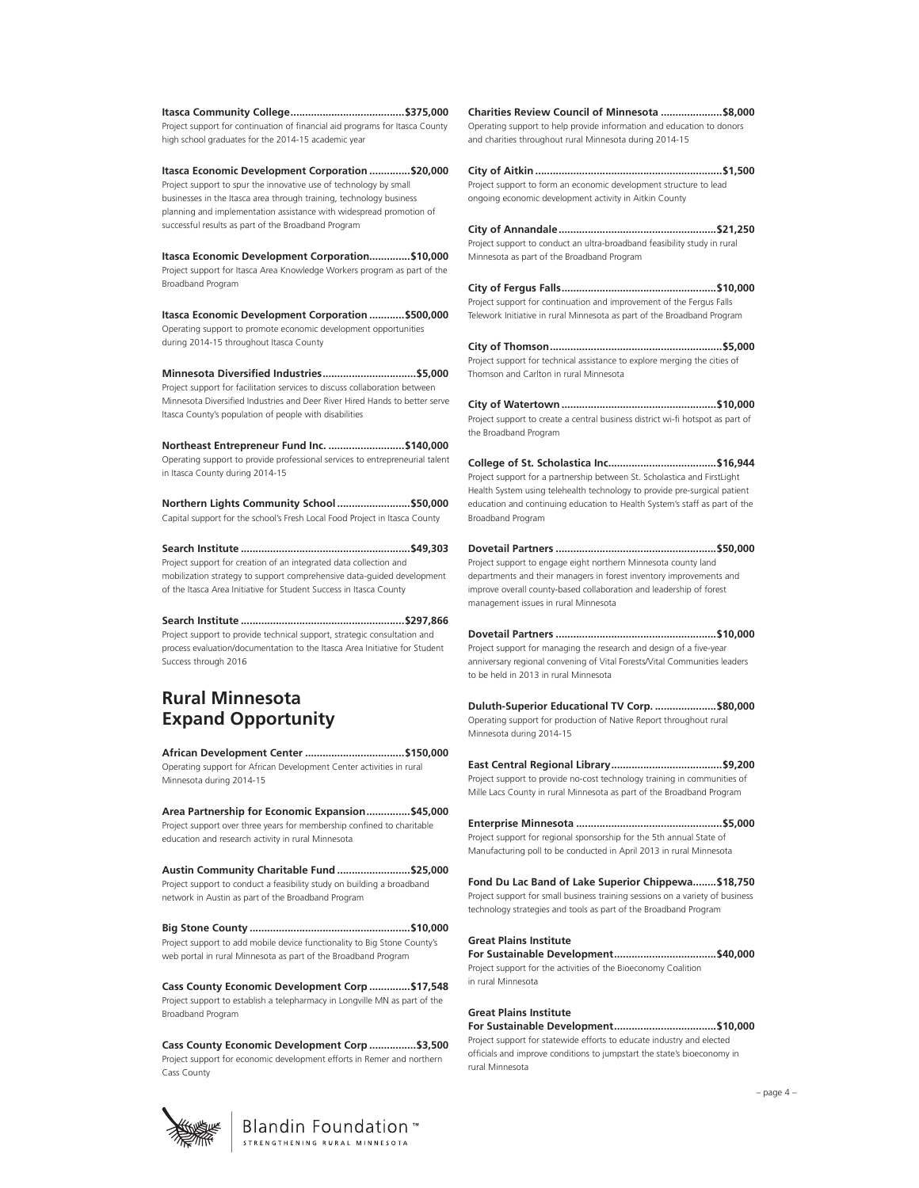**Itasca Community College.......................................\$375,000**  Project support for continuation of financial aid programs for Itasca County high school graduates for the 2014-15 academic year

**Itasca Economic Development Corporation ..............\$20,000**  Project support to spur the innovative use of technology by small businesses in the Itasca area through training, technology business planning and implementation assistance with widespread promotion of successful results as part of the Broadband Program

**Itasca Economic Development Corporation..............\$10,000**  Project support for Itasca Area Knowledge Workers program as part of the Broadband Program

**Itasca Economic Development Corporation ............\$500,000**  Operating support to promote economic development opportunities during 2014-15 throughout Itasca County

**Minnesota Diversified Industries................................\$5,000**  Project support for facilitation services to discuss collaboration between Minnesota Diversified Industries and Deer River Hired Hands to better serve Itasca County's population of people with disabilities

**Northeast Entrepreneur Fund Inc. ..........................\$140,000**  Operating support to provide professional services to entrepreneurial talent in Itasca County during 2014-15

**Northern Lights Community School .........................\$50,000**  Capital support for the school's Fresh Local Food Project in Itasca County

**Search Institute ..........................................................\$49,303**  Project support for creation of an integrated data collection and mobilization strategy to support comprehensive data-guided development of the Itasca Area Initiative for Student Success in Itasca County

**Search Institute ........................................................\$297,866**  Project support to provide technical support, strategic consultation and process evaluation/documentation to the Itasca Area Initiative for Student Success through 2016

### **Rural Minnesota Expand Opportunity**

**African Development Center ..................................\$150,000** Operating support for African Development Center activities in rural Minnesota during 2014-15

**Area Partnership for Economic Expansion...............\$45,000**  Project support over three years for membership confined to charitable education and research activity in rural Minnesota

**Austin Community Charitable Fund .........................\$25,000**  Project support to conduct a feasibility study on building a broadband network in Austin as part of the Broadband Program

**Big Stone County .......................................................\$10,000**  Project support to add mobile device functionality to Big Stone County's web portal in rural Minnesota as part of the Broadband Program

**Cass County Economic Development Corp ..............\$17,548**  Project support to establish a telepharmacy in Longville MN as part of the Broadband Program

**Cass County Economic Development Corp ................\$3,500**  Project support for economic development efforts in Remer and northern Cass County

> Blandin Foundation™ STRENGTHENING RURAL MINNESOTA



**Charities Review Council of Minnesota .....................\$8,000**  Operating support to help provide information and education to donors and charities throughout rural Minnesota during 2014-15

**City of Aitkin ................................................................\$1,500**  Project support to form an economic development structure to lead ongoing economic development activity in Aitkin County

**City of Annandale......................................................\$21,250** Project support to conduct an ultra-broadband feasibility study in rural Minnesota as part of the Broadband Program

**City of Fergus Falls.....................................................\$10,000**  Project support for continuation and improvement of the Fergus Falls Telework Initiative in rural Minnesota as part of the Broadband Program

**City of Thomson...........................................................\$5,000** Project support for technical assistance to explore merging the cities of Thomson and Carlton in rural Minnesota

**City of Watertown .....................................................\$10,000**  Project support to create a central business district wi-fi hotspot as part of the Broadband Program

**College of St. Scholastica Inc.....................................\$16,944**  Project support for a partnership between St. Scholastica and FirstLight Health System using telehealth technology to provide pre-surgical patient education and continuing education to Health System's staff as part of the Broadband Program

**Dovetail Partners .......................................................\$50,000**  Project support to engage eight northern Minnesota county land departments and their managers in forest inventory improvements and improve overall county-based collaboration and leadership of forest management issues in rural Minnesota

**Dovetail Partners .......................................................\$10,000**  Project support for managing the research and design of a five-year anniversary regional convening of Vital Forests/Vital Communities leaders to be held in 2013 in rural Minnesota

**Duluth-Superior Educational TV Corp. .....................\$80,000**  Operating support for production of Native Report throughout rural Minnesota during 2014-15

**East Central Regional Library......................................\$9,200**  Project support to provide no-cost technology training in communities of Mille Lacs County in rural Minnesota as part of the Broadband Program

**Enterprise Minnesota ..................................................\$5,000**  Project support for regional sponsorship for the 5th annual State of Manufacturing poll to be conducted in April 2013 in rural Minnesota

**Fond Du Lac Band of Lake Superior Chippewa........\$18,750**  Project support for small business training sessions on a variety of business technology strategies and tools as part of the Broadband Program

**Great Plains Institute For Sustainable Development...................................\$40,000**  Project support for the activities of the Bioeconomy Coalition in rural Minnesota

**For Sustainable Development...................................\$10,000**  Project support for statewide efforts to educate industry and elected officials and improve conditions to jumpstart the state's bioeconomy in rural Minnesota

**Great Plains Institute**

– page 4 –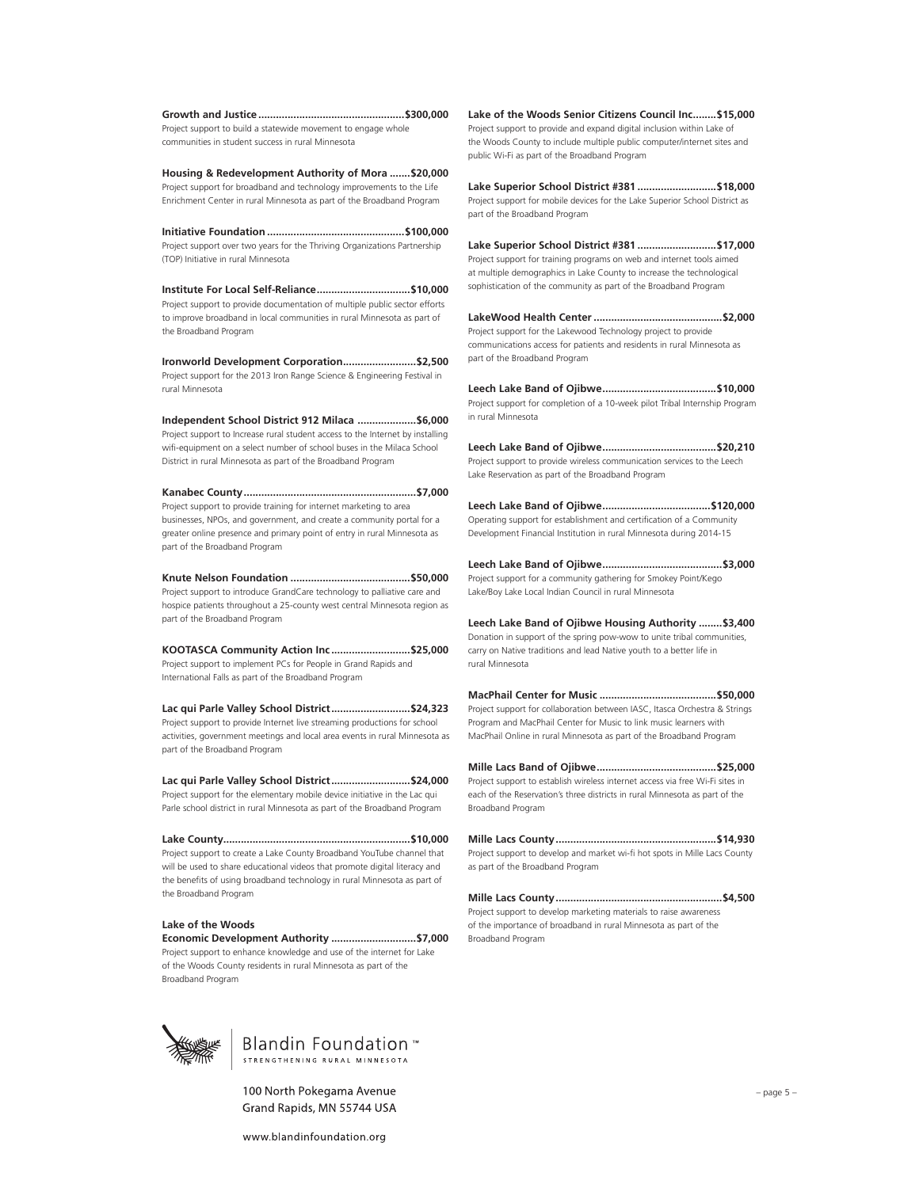**Growth and Justice..................................................\$300,000**  Project support to build a statewide movement to engage whole communities in student success in rural Minnesota

**Housing & Redevelopment Authority of Mora .......\$20,000**  Project support for broadband and technology improvements to the Life Enrichment Center in rural Minnesota as part of the Broadband Program

**Initiative Foundation ...............................................\$100,000**  Project support over two years for the Thriving Organizations Partnership (TOP) Initiative in rural Minnesota

**Institute For Local Self-Reliance................................\$10,000**  Project support to provide documentation of multiple public sector efforts to improve broadband in local communities in rural Minnesota as part of the Broadband Program

**Ironworld Development Corporation.........................\$2,500**  Project support for the 2013 Iron Range Science & Engineering Festival in rural Minnesota

**Independent School District 912 Milaca ....................\$6,000**  Project support to Increase rural student access to the Internet by installing wifi-equipment on a select number of school buses in the Milaca School District in rural Minnesota as part of the Broadband Program

**Kanabec County...........................................................\$7,000**  Project support to provide training for internet marketing to area businesses, NPOs, and government, and create a community portal for a greater online presence and primary point of entry in rural Minnesota as part of the Broadband Program

**Knute Nelson Foundation .........................................\$50,000**  Project support to introduce GrandCare technology to palliative care and hospice patients throughout a 25-county west central Minnesota region as part of the Broadband Program

**KOOTASCA Community Action Inc ...........................\$25,000**  Project support to implement PCs for People in Grand Rapids and International Falls as part of the Broadband Program

**Lac qui Parle Valley School District...........................\$24,323**  Project support to provide Internet live streaming productions for school activities, government meetings and local area events in rural Minnesota as part of the Broadband Program

**Lac qui Parle Valley School District...........................\$24,000**  Project support for the elementary mobile device initiative in the Lac qui Parle school district in rural Minnesota as part of the Broadband Program

**Lake County................................................................\$10,000**  Project support to create a Lake County Broadband YouTube channel that will be used to share educational videos that promote digital literacy and the benefits of using broadband technology in rural Minnesota as part of the Broadband Program

### **Lake of the Woods**

**Economic Development Authority .............................\$7,000**  Project support to enhance knowledge and use of the internet for Lake of the Woods County residents in rural Minnesota as part of the Broadband Program

**Lake of the Woods Senior Citizens Council Inc........\$15,000**  Project support to provide and expand digital inclusion within Lake of the Woods County to include multiple public computer/internet sites and public Wi-Fi as part of the Broadband Program

**Lake Superior School District #381 ...........................\$18,000**  Project support for mobile devices for the Lake Superior School District as part of the Broadband Program

**Lake Superior School District #381 ...........................\$17,000**  Project support for training programs on web and internet tools aimed at multiple demographics in Lake County to increase the technological sophistication of the community as part of the Broadband Program

**LakeWood Health Center............................................\$2,000**  Project support for the Lakewood Technology project to provide communications access for patients and residents in rural Minnesota as part of the Broadband Program

**Leech Lake Band of Ojibwe.......................................\$10,000**  Project support for completion of a 10-week pilot Tribal Internship Program in rural Minnesota

**Leech Lake Band of Ojibwe.......................................\$20,210**  Project support to provide wireless communication services to the Leech Lake Reservation as part of the Broadband Program

**Leech Lake Band of Ojibwe.....................................\$120,000**  Operating support for establishment and certification of a Community Development Financial Institution in rural Minnesota during 2014-15

**Leech Lake Band of Ojibwe.........................................\$3,000**  Project support for a community gathering for Smokey Point/Kego Lake/Boy Lake Local Indian Council in rural Minnesota

**Leech Lake Band of Ojibwe Housing Authority ........\$3,400**  Donation in support of the spring pow-wow to unite tribal communities, carry on Native traditions and lead Native youth to a better life in rural Minnesota

**MacPhail Center for Music ........................................\$50,000**  Project support for collaboration between IASC, Itasca Orchestra & Strings Program and MacPhail Center for Music to link music learners with MacPhail Online in rural Minnesota as part of the Broadband Program

**Mille Lacs Band of Ojibwe.........................................\$25,000**  Project support to establish wireless internet access via free Wi-Fi sites in each of the Reservation's three districts in rural Minnesota as part of the Broadband Program

**Mille Lacs County.......................................................\$14,930**  Project support to develop and market wi-fi hot spots in Mille Lacs County as part of the Broadband Program

**Mille Lacs County.........................................................\$4,500**  Project support to develop marketing materials to raise awareness of the importance of broadband in rural Minnesota as part of the Broadband Program





100 North Pokegama Avenue Grand Rapids, MN 55744 USA

www.blandinfoundation.org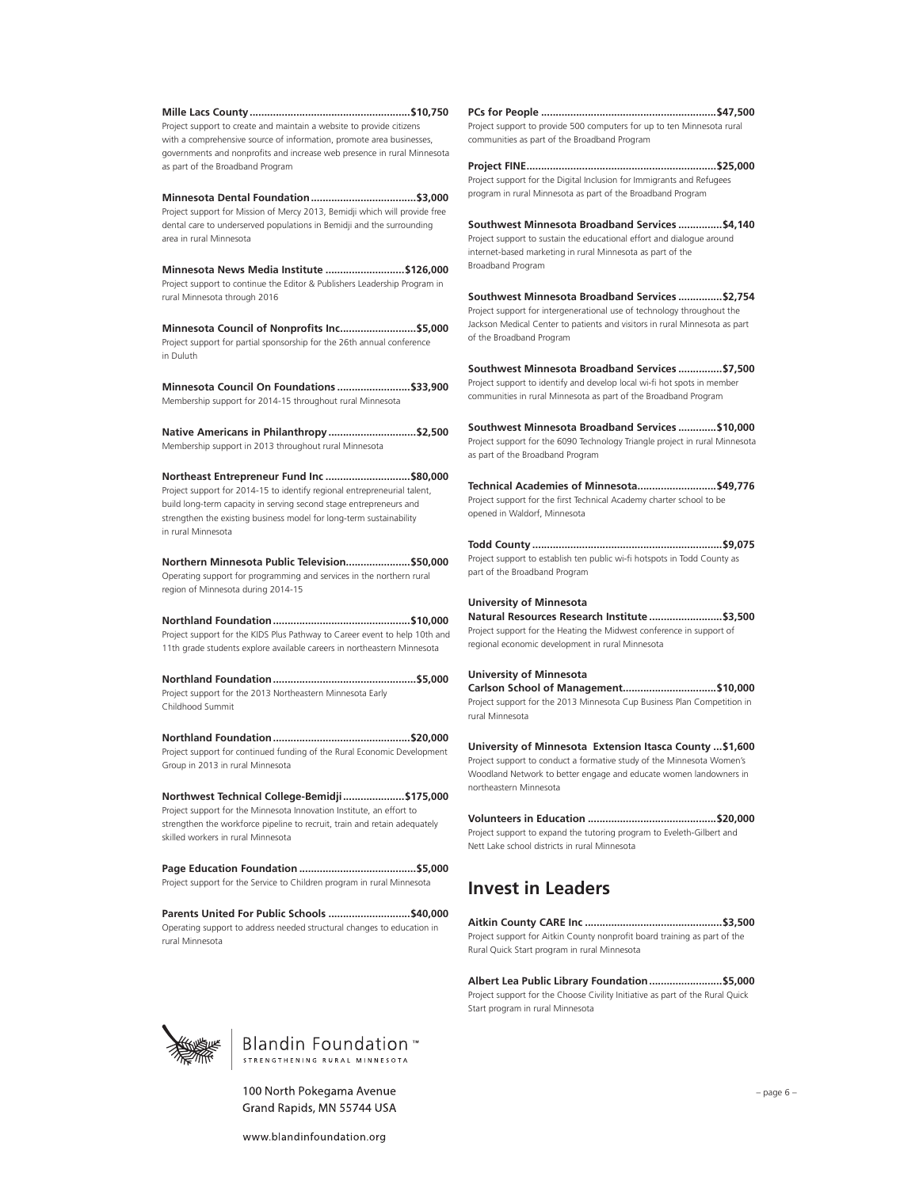**Mille Lacs County.......................................................\$10,750**  Project support to create and maintain a website to provide citizens with a comprehensive source of information, promote area businesses, governments and nonprofits and increase web presence in rural Minnesota as part of the Broadband Program

**Minnesota Dental Foundation....................................\$3,000**  Project support for Mission of Mercy 2013, Bemidji which will provide free dental care to underserved populations in Bemidji and the surrounding area in rural Minnesota

**Minnesota News Media Institute ...........................\$126,000**  Project support to continue the Editor & Publishers Leadership Program in rural Minnesota through 2016

**Minnesota Council of Nonprofits Inc..........................\$5,000**  Project support for partial sponsorship for the 26th annual conference in Duluth

**Minnesota Council On Foundations .........................\$33,900**  Membership support for 2014-15 throughout rural Minnesota

**Native Americans in Philanthropy..............................\$2,500**  Membership support in 2013 throughout rural Minnesota

**Northeast Entrepreneur Fund Inc .............................\$80,000**  Project support for 2014-15 to identify regional entrepreneurial talent, build long-term capacity in serving second stage entrepreneurs and strengthen the existing business model for long-term sustainability in rural Minnesota

**Northern Minnesota Public Television......................\$50,000**  Operating support for programming and services in the northern rural region of Minnesota during 2014-15

**Northland Foundation...............................................\$10,000**  Project support for the KIDS Plus Pathway to Career event to help 10th and 11th grade students explore available careers in northeastern Minnesota

**Northland Foundation.................................................\$5,000**  Project support for the 2013 Northeastern Minnesota Early Childhood Summit

**Northland Foundation...............................................\$20,000**  Project support for continued funding of the Rural Economic Development Group in 2013 in rural Minnesota

**Northwest Technical College-Bemidji.....................\$175,000**  Project support for the Minnesota Innovation Institute, an effort to strengthen the workforce pipeline to recruit, train and retain adequately skilled workers in rural Minnesota

**Page Education Foundation ........................................\$5,000**  Project support for the Service to Children program in rural Minnesota

**Parents United For Public Schools ............................\$40,000**  Operating support to address needed structural changes to education in rural Minnesota

### **PCs for People ............................................................\$47,500**  Project support to provide 500 computers for up to ten Minnesota rural

communities as part of the Broadband Program

**Project FINE.................................................................\$25,000**  Project support for the Digital Inclusion for Immigrants and Refugees program in rural Minnesota as part of the Broadband Program

**Southwest Minnesota Broadband Services ...............\$4,140**  Project support to sustain the educational effort and dialogue around internet-based marketing in rural Minnesota as part of the Broadband Program

**Southwest Minnesota Broadband Services ...............\$2,754**  Project support for intergenerational use of technology throughout the Jackson Medical Center to patients and visitors in rural Minnesota as part of the Broadband Program

**Southwest Minnesota Broadband Services ...............\$7,500**  Project support to identify and develop local wi-fi hot spots in member communities in rural Minnesota as part of the Broadband Program

**Southwest Minnesota Broadband Services .............\$10,000**  Project support for the 6090 Technology Triangle project in rural Minnesota as part of the Broadband Program

**Technical Academies of Minnesota...........................\$49,776**  Project support for the first Technical Academy charter school to be opened in Waldorf, Minnesota

**Todd County .................................................................\$9,075**  Project support to establish ten public wi-fi hotspots in Todd County as part of the Broadband Program

### **University of Minnesota**

**Natural Resources Research Institute .........................\$3,500**  Project support for the Heating the Midwest conference in support of regional economic development in rural Minnesota

#### **University of Minnesota**

**Carlson School of Management................................\$10,000**  Project support for the 2013 Minnesota Cup Business Plan Competition in rural Minnesota

**University of Minnesota Extension Itasca County ...\$1,600**  Project support to conduct a formative study of the Minnesota Women's Woodland Network to better engage and educate women landowners in northeastern Minnesota

**Volunteers in Education ............................................\$20,000**  Project support to expand the tutoring program to Eveleth-Gilbert and Nett Lake school districts in rural Minnesota

## **Invest in Leaders**

**Aitkin County CARE Inc ...............................................\$3,500**  Project support for Aitkin County nonprofit board training as part of the Rural Quick Start program in rural Minnesota

**Albert Lea Public Library Foundation.........................\$5,000**  Project support for the Choose Civility Initiative as part of the Rural Quick Start program in rural Minnesota





100 North Pokegama Avenue Grand Rapids, MN 55744 USA

www.blandinfoundation.org